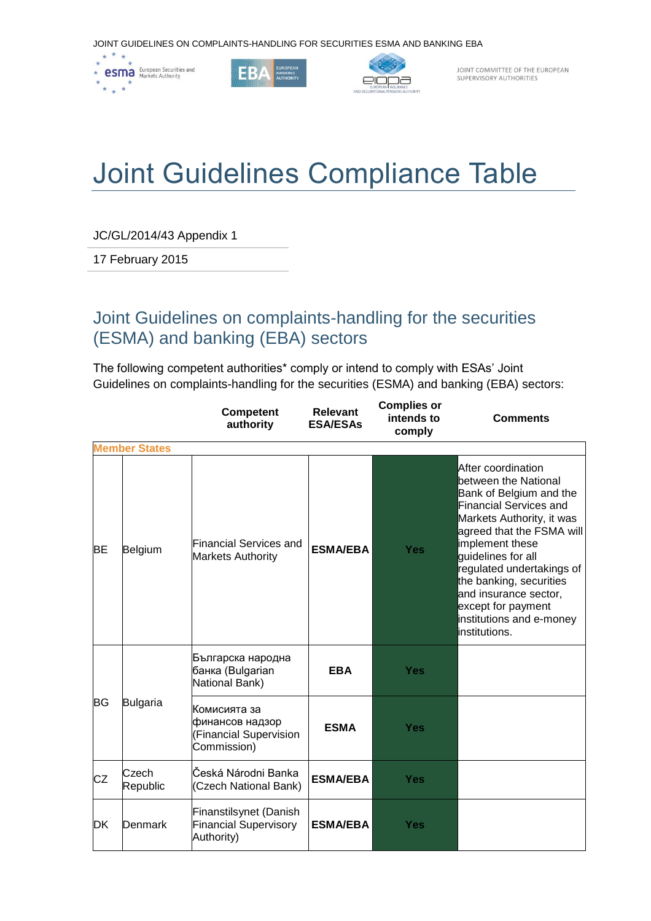JOINT GUIDELINES ON COMPLAINTS-HANDLING FOR SECURITIES ESMA AND BANKING EBA







JOINT COMMITTEE OF THE EUROPEAN<br>SUPERVISORY AUTHORITIES

## Joint Guidelines Compliance Table

JC/GL/2014/43 Appendix 1

17 February 2015

## Joint Guidelines on complaints-handling for the securities (ESMA) and banking (EBA) sectors

The following competent authorities\* comply or intend to comply with ESAs' Joint Guidelines on complaints-handling for the securities (ESMA) and banking (EBA) sectors:

|           |                      | <b>Competent</b><br>authority                                            | <b>Relevant</b><br><b>ESA/ESAs</b> | <b>Complies or</b><br>intends to<br>comply | <b>Comments</b>                                                                                                                                                                                                                                                                                                                                                        |
|-----------|----------------------|--------------------------------------------------------------------------|------------------------------------|--------------------------------------------|------------------------------------------------------------------------------------------------------------------------------------------------------------------------------------------------------------------------------------------------------------------------------------------------------------------------------------------------------------------------|
|           | <b>Member States</b> |                                                                          |                                    |                                            |                                                                                                                                                                                                                                                                                                                                                                        |
| <b>BE</b> | Belgium              | Financial Services and<br><b>Markets Authority</b>                       | <b>ESMA/EBA</b>                    | <b>Yes</b>                                 | After coordination<br>between the National<br>Bank of Belgium and the<br><b>Financial Services and</b><br>Markets Authority, it was<br>agreed that the FSMA will<br>implement these<br>quidelines for all<br>regulated undertakings of<br>the banking, securities<br>and insurance sector,<br>except for payment<br>institutions and e-money<br><b>l</b> institutions. |
| <b>BG</b> | Bulgaria             | Българска народна<br>банка (Bulgarian<br>National Bank)                  | <b>EBA</b>                         | <b>Yes</b>                                 |                                                                                                                                                                                                                                                                                                                                                                        |
|           |                      | Комисията за<br>финансов надзор<br>(Financial Supervision<br>Commission) | <b>ESMA</b>                        | <b>Yes</b>                                 |                                                                                                                                                                                                                                                                                                                                                                        |
| CZ        | Czech<br>Republic    | Česká Národni Banka<br>(Czech National Bank)                             | <b>ESMA/EBA</b>                    | <b>Yes</b>                                 |                                                                                                                                                                                                                                                                                                                                                                        |
| DK        | Denmark              | Finanstilsynet (Danish<br><b>Financial Supervisory</b><br>Authority)     | <b>ESMA/EBA</b>                    | <b>Yes</b>                                 |                                                                                                                                                                                                                                                                                                                                                                        |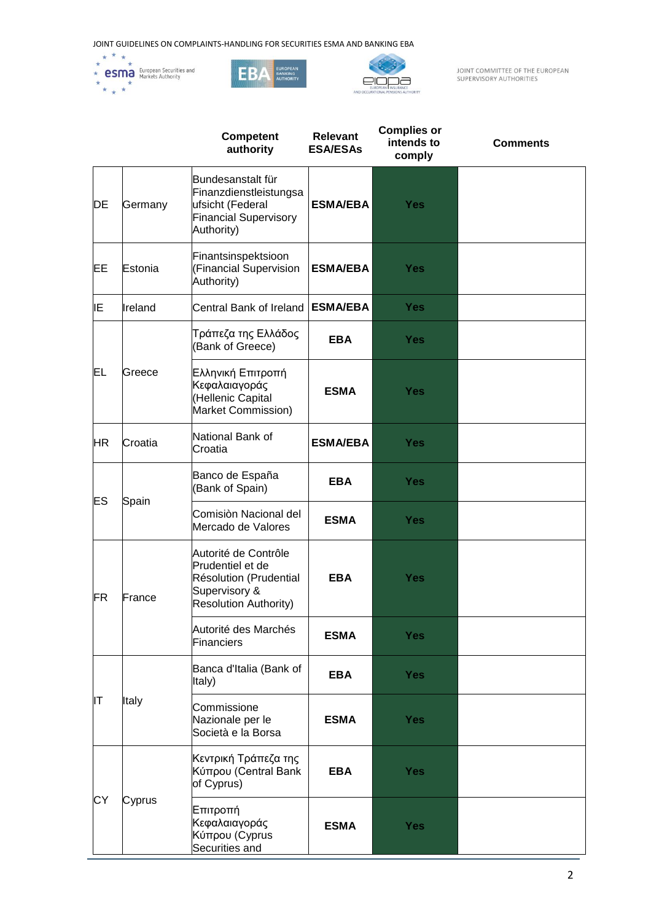





JOINT COMMITTEE OF THE EUROPEAN<br>SUPERVISORY AUTHORITIES

|           |         | <b>Competent</b><br>authority                                                                                       | <b>Relevant</b><br><b>ESA/ESAs</b> | <b>Complies or</b><br>intends to<br>comply | <b>Comments</b> |
|-----------|---------|---------------------------------------------------------------------------------------------------------------------|------------------------------------|--------------------------------------------|-----------------|
| DE        | Germany | Bundesanstalt für<br>Finanzdienstleistungsa<br>ufsicht (Federal<br><b>Financial Supervisory</b><br>Authority)       | <b>ESMA/EBA</b>                    | <b>Yes</b>                                 |                 |
| EE        | Estonia | Finantsinspektsioon<br>(Financial Supervision<br>Authority)                                                         | <b>ESMA/EBA</b>                    | <b>Yes</b>                                 |                 |
| IΕ        | Ireland | Central Bank of Ireland                                                                                             | <b>ESMA/EBA</b>                    | <b>Yes</b>                                 |                 |
|           | Greece  | Τράπεζα της Ελλάδος<br>(Bank of Greece)                                                                             | <b>EBA</b>                         | <b>Yes</b>                                 |                 |
| EL        |         | Ελληνική Επιτροπή<br>Κεφαλαιαγοράς<br>(Hellenic Capital<br>Market Commission)                                       | <b>ESMA</b>                        | <b>Yes</b>                                 |                 |
| <b>HR</b> | Croatia | National Bank of<br>Croatia                                                                                         | <b>ESMA/EBA</b>                    | <b>Yes</b>                                 |                 |
| ES        | Spain   | Banco de España<br>(Bank of Spain)                                                                                  | <b>EBA</b>                         | <b>Yes</b>                                 |                 |
|           |         | Comisiòn Nacional del<br>Mercado de Valores                                                                         | <b>ESMA</b>                        | <b>Yes</b>                                 |                 |
| <b>FR</b> | France  | Autorité de Contrôle<br>Prudentiel et de<br>Résolution (Prudential<br>Supervisory &<br><b>Resolution Authority)</b> | <b>EBA</b>                         | <b>Yes</b>                                 |                 |
|           |         | Autorité des Marchés<br><b>Financiers</b>                                                                           | <b>ESMA</b>                        | <b>Yes</b>                                 |                 |
|           | Italy   | Banca d'Italia (Bank of<br>Italy)                                                                                   | <b>EBA</b>                         | <b>Yes</b>                                 |                 |
| lΤ        |         | Commissione<br>Nazionale per le<br>Società e la Borsa                                                               | <b>ESMA</b>                        | <b>Yes</b>                                 |                 |
|           | Cyprus  | Κεντρική Τράπεζα της<br>Κύπρου (Central Bank<br>of Cyprus)                                                          | <b>EBA</b>                         | <b>Yes</b>                                 |                 |
| СY        |         | Επιτροπή<br>Κεφαλαιαγοράς<br>Κύπρου (Cyprus<br>Securities and                                                       | <b>ESMA</b>                        | <b>Yes</b>                                 |                 |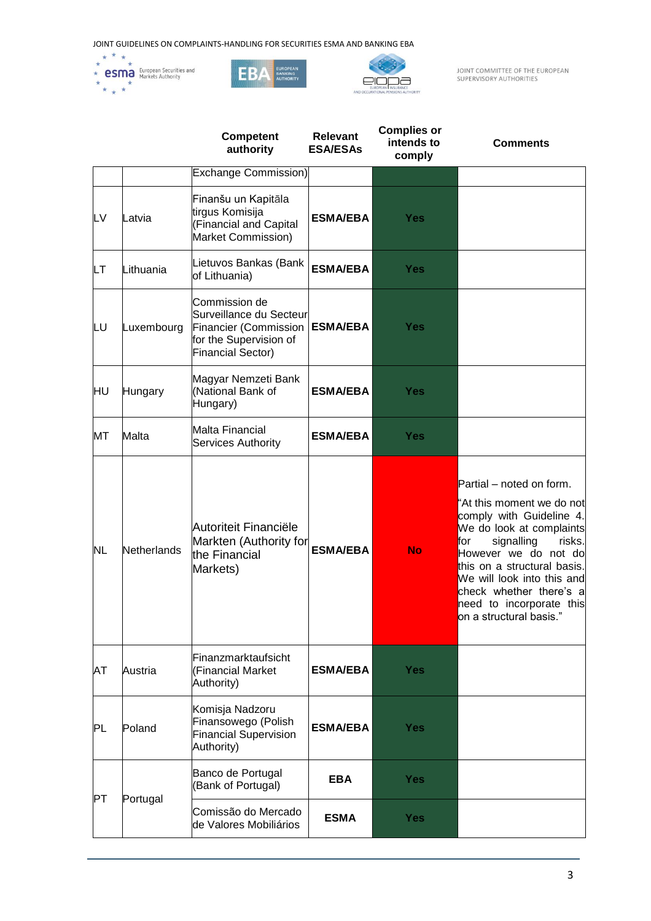





JOINT COMMITTEE OF THE EUROPEAN<br>SUPERVISORY AUTHORITIES

|           |             | <b>Competent</b><br>authority                                                                                             | <b>Relevant</b><br><b>ESA/ESAs</b> | <b>Complies or</b><br>intends to<br>comply | <b>Comments</b>                                                                                                                                                                                                                                                                                                     |
|-----------|-------------|---------------------------------------------------------------------------------------------------------------------------|------------------------------------|--------------------------------------------|---------------------------------------------------------------------------------------------------------------------------------------------------------------------------------------------------------------------------------------------------------------------------------------------------------------------|
|           |             | <b>Exchange Commission)</b>                                                                                               |                                    |                                            |                                                                                                                                                                                                                                                                                                                     |
| LV        | Latvia      | Finanšu un Kapitāla<br>tirgus Komisija<br>(Financial and Capital<br>Market Commission)                                    | <b>ESMA/EBA</b>                    | <b>Yes</b>                                 |                                                                                                                                                                                                                                                                                                                     |
| LТ        | Lithuania   | Lietuvos Bankas (Bank<br>of Lithuania)                                                                                    | <b>ESMA/EBA</b>                    | <b>Yes</b>                                 |                                                                                                                                                                                                                                                                                                                     |
| LU        | Luxembourg  | Commission de<br>Surveillance du Secteur<br>Financier (Commission  <br>for the Supervision of<br><b>Financial Sector)</b> | <b>ESMA/EBA</b>                    | Yes                                        |                                                                                                                                                                                                                                                                                                                     |
| HU        | Hungary     | Magyar Nemzeti Bank<br>(National Bank of<br>Hungary)                                                                      | <b>ESMA/EBA</b>                    | Yes                                        |                                                                                                                                                                                                                                                                                                                     |
| МT        | Malta       | <b>Malta Financial</b><br><b>Services Authority</b>                                                                       | <b>ESMA/EBA</b>                    | <b>Yes</b>                                 |                                                                                                                                                                                                                                                                                                                     |
| <b>NL</b> | Netherlands | Autoriteit Financiële<br>Markten (Authority for<br>the Financial<br>Markets)                                              | <b>ESMA/EBA</b>                    | <b>No</b>                                  | Partial - noted on form.<br>"At this moment we do not<br>comply with Guideline 4.<br>We do look at complaints<br>signalling<br>risks.<br>for<br>However we do not do<br>this on a structural basis.<br>We will look into this and<br>check whether there's a<br>need to incorporate this<br>on a structural basis." |
| AT        | Austria     | Finanzmarktaufsicht<br>(Financial Market<br>Authority)                                                                    | <b>ESMA/EBA</b>                    | <b>Yes</b>                                 |                                                                                                                                                                                                                                                                                                                     |
| PL        | Poland      | Komisja Nadzoru<br>Finansowego (Polish<br><b>Financial Supervision</b><br>Authority)                                      | <b>ESMA/EBA</b>                    | <b>Yes</b>                                 |                                                                                                                                                                                                                                                                                                                     |
| PT        | Portugal    | Banco de Portugal<br>(Bank of Portugal)                                                                                   | <b>EBA</b>                         | <b>Yes</b>                                 |                                                                                                                                                                                                                                                                                                                     |
|           |             | Comissão do Mercado<br>de Valores Mobiliários                                                                             | <b>ESMA</b>                        | <b>Yes</b>                                 |                                                                                                                                                                                                                                                                                                                     |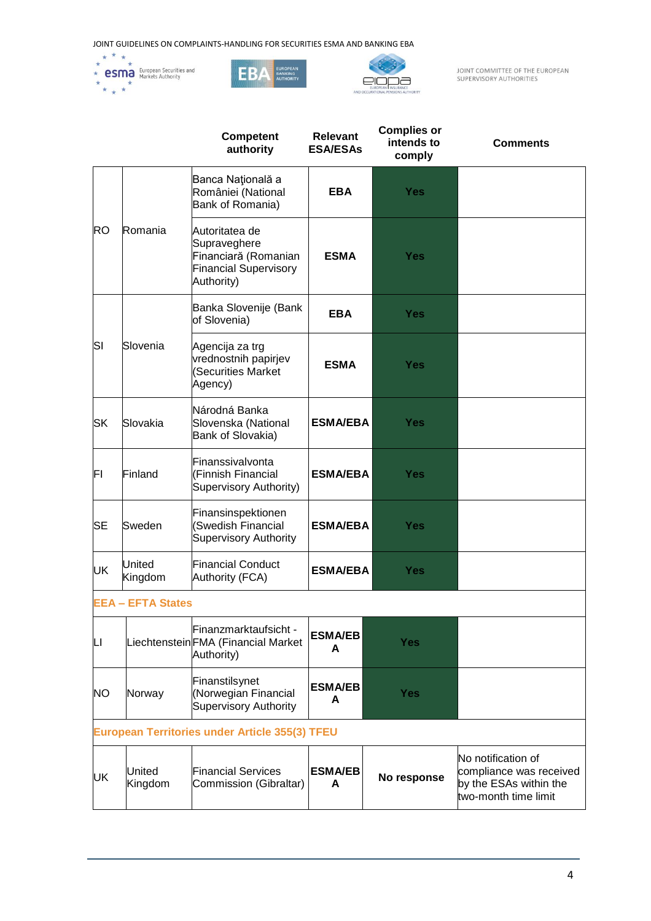





JOINT COMMITTEE OF THE EUROPEAN<br>SUPERVISORY AUTHORITIES

|           |                          | <b>Competent</b><br>authority                                                                        | <b>Relevant</b><br><b>ESA/ESAs</b> | <b>Complies or</b><br>intends to<br>comply | <b>Comments</b>                                                                                 |
|-----------|--------------------------|------------------------------------------------------------------------------------------------------|------------------------------------|--------------------------------------------|-------------------------------------------------------------------------------------------------|
|           |                          | Banca Națională a<br>României (National<br>Bank of Romania)                                          | <b>EBA</b>                         | <b>Yes</b>                                 |                                                                                                 |
| <b>RO</b> | Romania                  | Autoritatea de<br>Supraveghere<br>Financiară (Romanian<br><b>Financial Supervisory</b><br>Authority) | <b>ESMA</b>                        | <b>Yes</b>                                 |                                                                                                 |
|           |                          | Banka Slovenije (Bank<br>of Slovenia)                                                                | <b>EBA</b>                         | <b>Yes</b>                                 |                                                                                                 |
| SΙ        | Slovenia                 | Agencija za trg<br>vrednostnih papirjev<br>(Securities Market<br>Agency)                             | <b>ESMA</b>                        | Yes                                        |                                                                                                 |
| <b>SK</b> | Slovakia                 | Národná Banka<br>Slovenska (National<br>Bank of Slovakia)                                            | <b>ESMA/EBA</b>                    | <b>Yes</b>                                 |                                                                                                 |
| FI        | Finland                  | Finanssivalvonta<br>(Finnish Financial<br>Supervisory Authority)                                     | <b>ESMA/EBA</b>                    | <b>Yes</b>                                 |                                                                                                 |
| <b>SE</b> | Sweden                   | Finansinspektionen<br>(Swedish Financial<br><b>Supervisory Authority</b>                             | <b>ESMA/EBA</b>                    | <b>Yes</b>                                 |                                                                                                 |
| UK        | United<br>Kingdom        | <b>Financial Conduct</b><br>Authority (FCA)                                                          | <b>ESMA/EBA</b>                    | <b>Yes</b>                                 |                                                                                                 |
|           | <b>EEA - EFTA States</b> |                                                                                                      |                                    |                                            |                                                                                                 |
| LI        |                          | Finanzmarktaufsicht -<br>Liechtenstein FMA (Financial Market<br>Authority)                           | <b>ESMA/EB</b><br>A                | <b>Yes</b>                                 |                                                                                                 |
| <b>NO</b> | Norway                   | Finanstilsynet<br>(Norwegian Financial<br><b>Supervisory Authority</b>                               | <b>ESMA/EB</b><br>A                | <b>Yes</b>                                 |                                                                                                 |
|           |                          | European Territories under Article 355(3) TFEU                                                       |                                    |                                            |                                                                                                 |
| UK        | United<br>Kingdom        | <b>Financial Services</b><br>Commission (Gibraltar)                                                  | <b>ESMA/EB</b><br>A                | No response                                | No notification of<br>compliance was received<br>by the ESAs within the<br>two-month time limit |